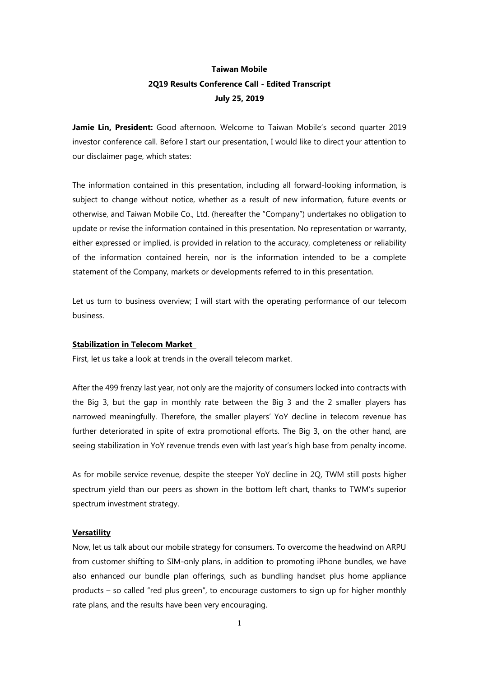# **Taiwan Mobile 2Q19 Results Conference Call - Edited Transcript July 25, 2019**

**Jamie Lin, President:** Good afternoon. Welcome to Taiwan Mobile's second quarter 2019 investor conference call. Before I start our presentation, I would like to direct your attention to our disclaimer page, which states:

The information contained in this presentation, including all forward-looking information, is subject to change without notice, whether as a result of new information, future events or otherwise, and Taiwan Mobile Co., Ltd. (hereafter the "Company") undertakes no obligation to update or revise the information contained in this presentation. No representation or warranty, either expressed or implied, is provided in relation to the accuracy, completeness or reliability of the information contained herein, nor is the information intended to be a complete statement of the Company, markets or developments referred to in this presentation.

Let us turn to business overview; I will start with the operating performance of our telecom business.

# **Stabilization in Telecom Market**

First, let us take a look at trends in the overall telecom market.

After the 499 frenzy last year, not only are the majority of consumers locked into contracts with the Big 3, but the gap in monthly rate between the Big 3 and the 2 smaller players has narrowed meaningfully. Therefore, the smaller players' YoY decline in telecom revenue has further deteriorated in spite of extra promotional efforts. The Big 3, on the other hand, are seeing stabilization in YoY revenue trends even with last year's high base from penalty income.

As for mobile service revenue, despite the steeper YoY decline in 2Q, TWM still posts higher spectrum yield than our peers as shown in the bottom left chart, thanks to TWM's superior spectrum investment strategy.

## **Versatility**

Now, let us talk about our mobile strategy for consumers. To overcome the headwind on ARPU from customer shifting to SIM-only plans, in addition to promoting iPhone bundles, we have also enhanced our bundle plan offerings, such as bundling handset plus home appliance products – so called "red plus green", to encourage customers to sign up for higher monthly rate plans, and the results have been very encouraging.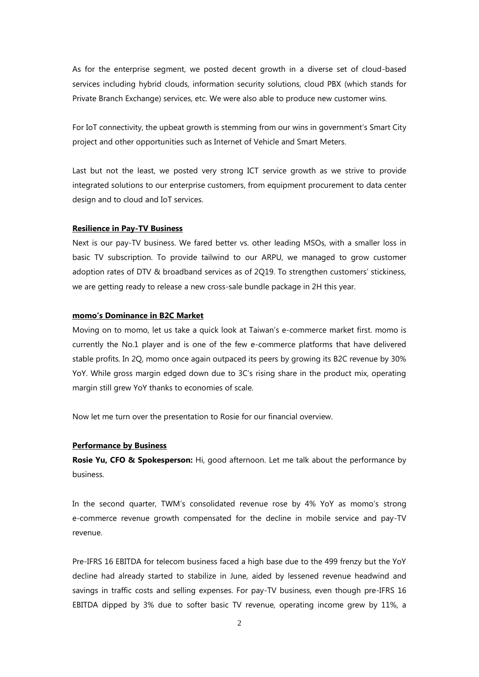As for the enterprise segment, we posted decent growth in a diverse set of cloud-based services including hybrid clouds, information security solutions, cloud PBX (which stands for Private Branch Exchange) services, etc. We were also able to produce new customer wins.

For IoT connectivity, the upbeat growth is stemming from our wins in government's Smart City project and other opportunities such as Internet of Vehicle and Smart Meters.

Last but not the least, we posted very strong ICT service growth as we strive to provide integrated solutions to our enterprise customers, from equipment procurement to data center design and to cloud and IoT services.

# **Resilience in Pay-TV Business**

Next is our pay-TV business. We fared better vs. other leading MSOs, with a smaller loss in basic TV subscription. To provide tailwind to our ARPU, we managed to grow customer adoption rates of DTV & broadband services as of 2Q19. To strengthen customers' stickiness, we are getting ready to release a new cross-sale bundle package in 2H this year.

## **momo's Dominance in B2C Market**

Moving on to momo, let us take a quick look at Taiwan's e-commerce market first. momo is currently the No.1 player and is one of the few e-commerce platforms that have delivered stable profits. In 2Q, momo once again outpaced its peers by growing its B2C revenue by 30% YoY. While gross margin edged down due to 3C's rising share in the product mix, operating margin still grew YoY thanks to economies of scale.

Now let me turn over the presentation to Rosie for our financial overview.

# **Performance by Business**

**Rosie Yu, CFO & Spokesperson:** Hi, good afternoon. Let me talk about the performance by business.

In the second quarter, TWM's consolidated revenue rose by 4% YoY as momo's strong e-commerce revenue growth compensated for the decline in mobile service and pay-TV revenue.

Pre-IFRS 16 EBITDA for telecom business faced a high base due to the 499 frenzy but the YoY decline had already started to stabilize in June, aided by lessened revenue headwind and savings in traffic costs and selling expenses. For pay-TV business, even though pre-IFRS 16 EBITDA dipped by 3% due to softer basic TV revenue, operating income grew by 11%, a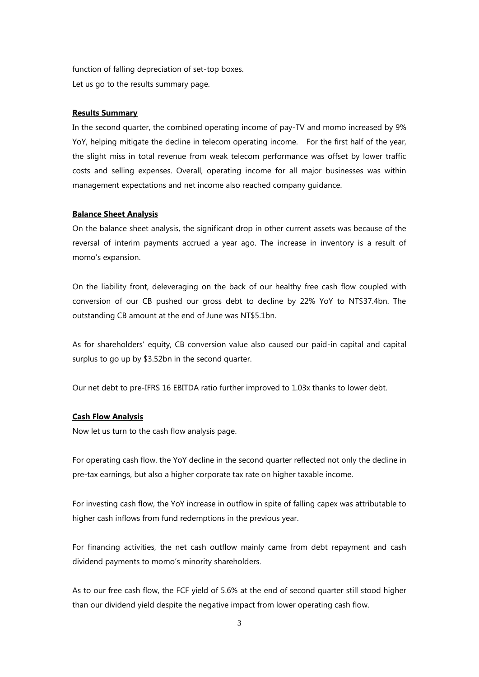function of falling depreciation of set-top boxes. Let us go to the results summary page.

# **Results Summary**

In the second quarter, the combined operating income of pay-TV and momo increased by 9% YoY, helping mitigate the decline in telecom operating income. For the first half of the year, the slight miss in total revenue from weak telecom performance was offset by lower traffic costs and selling expenses. Overall, operating income for all major businesses was within management expectations and net income also reached company guidance.

#### **Balance Sheet Analysis**

On the balance sheet analysis, the significant drop in other current assets was because of the reversal of interim payments accrued a year ago. The increase in inventory is a result of momo's expansion.

On the liability front, deleveraging on the back of our healthy free cash flow coupled with conversion of our CB pushed our gross debt to decline by 22% YoY to NT\$37.4bn. The outstanding CB amount at the end of June was NT\$5.1bn.

As for shareholders' equity, CB conversion value also caused our paid-in capital and capital surplus to go up by \$3.52bn in the second quarter.

Our net debt to pre-IFRS 16 EBITDA ratio further improved to 1.03x thanks to lower debt.

## **Cash Flow Analysis**

Now let us turn to the cash flow analysis page.

For operating cash flow, the YoY decline in the second quarter reflected not only the decline in pre-tax earnings, but also a higher corporate tax rate on higher taxable income.

For investing cash flow, the YoY increase in outflow in spite of falling capex was attributable to higher cash inflows from fund redemptions in the previous year.

For financing activities, the net cash outflow mainly came from debt repayment and cash dividend payments to momo's minority shareholders.

As to our free cash flow, the FCF yield of 5.6% at the end of second quarter still stood higher than our dividend yield despite the negative impact from lower operating cash flow.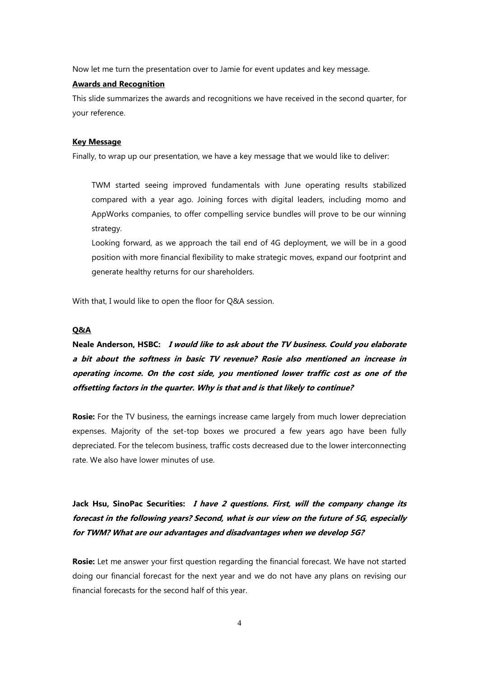Now let me turn the presentation over to Jamie for event updates and key message.

# **Awards and Recognition**

This slide summarizes the awards and recognitions we have received in the second quarter, for your reference.

## **Key Message**

Finally, to wrap up our presentation, we have a key message that we would like to deliver:

TWM started seeing improved fundamentals with June operating results stabilized compared with a year ago. Joining forces with digital leaders, including momo and AppWorks companies, to offer compelling service bundles will prove to be our winning strategy.

Looking forward, as we approach the tail end of 4G deployment, we will be in a good position with more financial flexibility to make strategic moves, expand our footprint and generate healthy returns for our shareholders.

With that, I would like to open the floor for Q&A session.

# **Q&A**

# **Neale Anderson, HSBC: I would like to ask about the TV business. Could you elaborate a bit about the softness in basic TV revenue? Rosie also mentioned an increase in operating income. On the cost side, you mentioned lower traffic cost as one of the offsetting factors in the quarter. Why is that and is that likely to continue?**

**Rosie:** For the TV business, the earnings increase came largely from much lower depreciation expenses. Majority of the set-top boxes we procured a few years ago have been fully depreciated. For the telecom business, traffic costs decreased due to the lower interconnecting rate. We also have lower minutes of use.

**Jack Hsu, SinoPac Securities: I have 2 questions. First, will the company change its forecast in the following years? Second, what is our view on the future of 5G, especially for TWM? What are our advantages and disadvantages when we develop 5G?**

**Rosie:** Let me answer your first question regarding the financial forecast. We have not started doing our financial forecast for the next year and we do not have any plans on revising our financial forecasts for the second half of this year.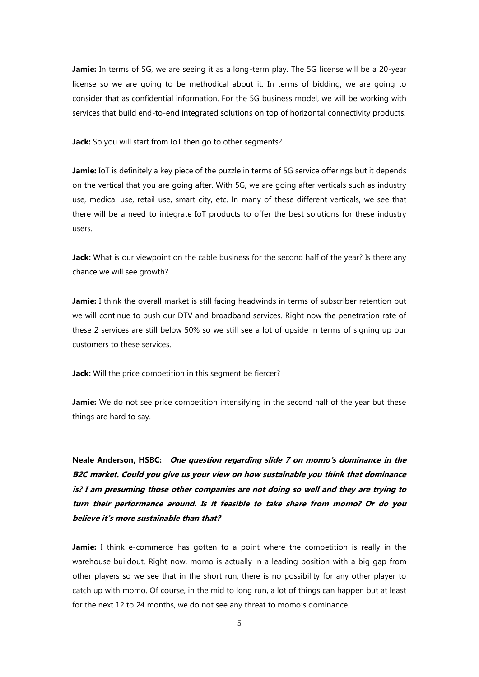Jamie: In terms of 5G, we are seeing it as a long-term play. The 5G license will be a 20-year license so we are going to be methodical about it. In terms of bidding, we are going to consider that as confidential information. For the 5G business model, we will be working with services that build end-to-end integrated solutions on top of horizontal connectivity products.

**Jack:** So you will start from IoT then go to other segments?

Jamie: IoT is definitely a key piece of the puzzle in terms of 5G service offerings but it depends on the vertical that you are going after. With 5G, we are going after verticals such as industry use, medical use, retail use, smart city, etc. In many of these different verticals, we see that there will be a need to integrate IoT products to offer the best solutions for these industry users.

**Jack:** What is our viewpoint on the cable business for the second half of the year? Is there any chance we will see growth?

**Jamie:** I think the overall market is still facing headwinds in terms of subscriber retention but we will continue to push our DTV and broadband services. Right now the penetration rate of these 2 services are still below 50% so we still see a lot of upside in terms of signing up our customers to these services.

**Jack:** Will the price competition in this segment be fiercer?

**Jamie:** We do not see price competition intensifying in the second half of the year but these things are hard to say.

**Neale Anderson, HSBC: One question regarding slide 7 on momo's dominance in the B2C market. Could you give us your view on how sustainable you think that dominance is? I am presuming those other companies are not doing so well and they are trying to turn their performance around. Is it feasible to take share from momo? Or do you believe it's more sustainable than that?**

**Jamie:** I think e-commerce has gotten to a point where the competition is really in the warehouse buildout. Right now, momo is actually in a leading position with a big gap from other players so we see that in the short run, there is no possibility for any other player to catch up with momo. Of course, in the mid to long run, a lot of things can happen but at least for the next 12 to 24 months, we do not see any threat to momo's dominance.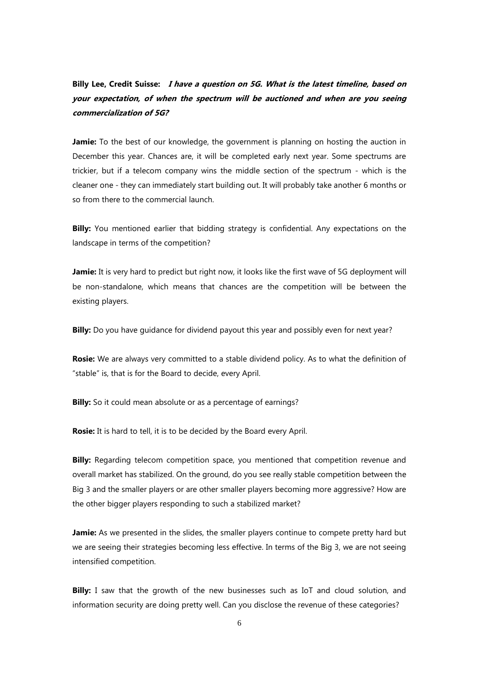**Billy Lee, Credit Suisse: I have a question on 5G. What is the latest timeline, based on your expectation, of when the spectrum will be auctioned and when are you seeing commercialization of 5G?**

**Jamie:** To the best of our knowledge, the government is planning on hosting the auction in December this year. Chances are, it will be completed early next year. Some spectrums are trickier, but if a telecom company wins the middle section of the spectrum - which is the cleaner one - they can immediately start building out. It will probably take another 6 months or so from there to the commercial launch.

**Billy:** You mentioned earlier that bidding strategy is confidential. Any expectations on the landscape in terms of the competition?

**Jamie:** It is very hard to predict but right now, it looks like the first wave of 5G deployment will be non-standalone, which means that chances are the competition will be between the existing players.

**Billy:** Do you have quidance for dividend payout this year and possibly even for next year?

**Rosie:** We are always very committed to a stable dividend policy. As to what the definition of "stable" is, that is for the Board to decide, every April.

**Billy:** So it could mean absolute or as a percentage of earnings?

**Rosie:** It is hard to tell, it is to be decided by the Board every April.

**Billy:** Regarding telecom competition space, you mentioned that competition revenue and overall market has stabilized. On the ground, do you see really stable competition between the Big 3 and the smaller players or are other smaller players becoming more aggressive? How are the other bigger players responding to such a stabilized market?

**Jamie:** As we presented in the slides, the smaller players continue to compete pretty hard but we are seeing their strategies becoming less effective. In terms of the Big 3, we are not seeing intensified competition.

**Billy:** I saw that the growth of the new businesses such as IoT and cloud solution, and information security are doing pretty well. Can you disclose the revenue of these categories?